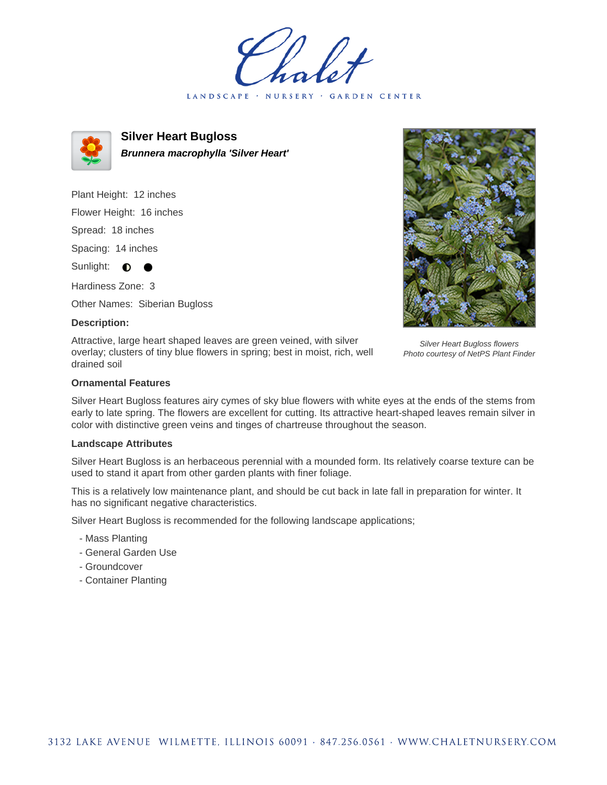holet LANDSCAPE · NURSERY · GARDEN CENTER



**Silver Heart Bugloss Brunnera macrophylla 'Silver Heart'**

Plant Height: 12 inches Flower Height: 16 inches Spread: 18 inches Spacing: 14 inches Sunlight:  $\bullet$ Hardiness Zone: 3

Other Names: Siberian Bugloss

## **Description:**

Attractive, large heart shaped leaves are green veined, with silver overlay; clusters of tiny blue flowers in spring; best in moist, rich, well drained soil



Silver Heart Bugloss flowers Photo courtesy of NetPS Plant Finder

## **Ornamental Features**

Silver Heart Bugloss features airy cymes of sky blue flowers with white eyes at the ends of the stems from early to late spring. The flowers are excellent for cutting. Its attractive heart-shaped leaves remain silver in color with distinctive green veins and tinges of chartreuse throughout the season.

## **Landscape Attributes**

Silver Heart Bugloss is an herbaceous perennial with a mounded form. Its relatively coarse texture can be used to stand it apart from other garden plants with finer foliage.

This is a relatively low maintenance plant, and should be cut back in late fall in preparation for winter. It has no significant negative characteristics.

Silver Heart Bugloss is recommended for the following landscape applications;

- Mass Planting
- General Garden Use
- Groundcover
- Container Planting